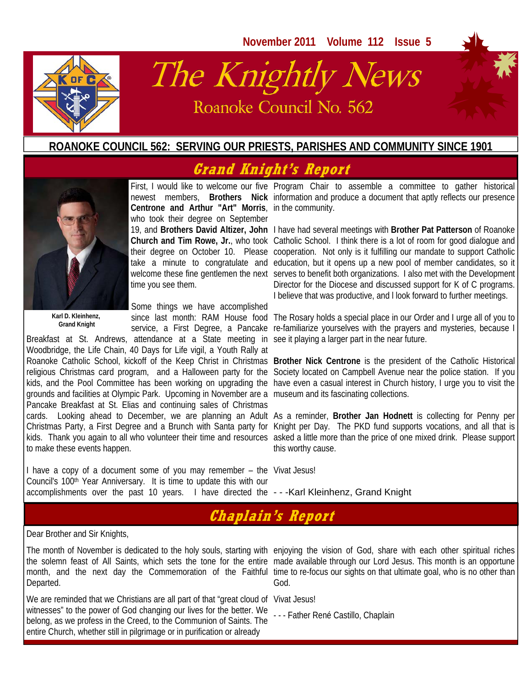

# The Knightly News Roanoke Council No. 562

### **ROANOKE COUNCIL 562: SERVING OUR PRIESTS, PARISHES AND COMMUNITY SINCE 1901**

# **Grand Knight's Report**



**Centrone and Arthur "Art" Morris**, in the community. who took their degree on September time you see them.

**Karl D. Kleinhenz, Grand Knight** 

Some things we have accomplished service, a First Degree, a Pancake

Breakfast at St. Andrews, attendance at a State meeting in Woodbridge, the Life Chain, 40 Days for Life vigil, a Youth Rally at religious Christmas card program, and a Halloween party for the kids, and the Pool Committee has been working on upgrading the grounds and facilities at Olympic Park. Upcoming in November are a museum and its fascinating collections. Pancake Breakfast at St. Elias and continuing sales of Christmas to make these events happen.

I have a copy of a document some of you may remember – the Vivat Jesus! Council's 100<sup>th</sup> Year Anniversary. It is time to update this with our accomplishments over the past 10 years. I have directed the ---Karl Kleinhenz, Grand Knight

First, I would like to welcome our five Program Chair to assemble a committee to gather historical newest members, **Brothers Nick** information and produce a document that aptly reflects our presence

19, and **Brothers David Altizer, John**  I have had several meetings with **Brother Pat Patterson** of Roanoke Church and Tim Rowe, Jr., who took Catholic School. I think there is a lot of room for good dialogue and their degree on October 10. Please cooperation. Not only is it fulfilling our mandate to support Catholic take a minute to congratulate and education, but it opens up a new pool of member candidates, so it welcome these fine gentlemen the next serves to benefit both organizations. I also met with the Development Director for the Diocese and discussed support for K of C programs. I believe that was productive, and l look forward to further meetings.

since last month: RAM House food The Rosary holds a special place in our Order and I urge all of you to re-familiarize yourselves with the prayers and mysteries, because I see it playing a larger part in the near future.

Roanoke Catholic School, kickoff of the Keep Christ in Christmas **Brother Nick Centrone** is the president of the Catholic Historical Society located on Campbell Avenue near the police station. If you have even a casual interest in Church history, I urge you to visit the

cards. Looking ahead to December, we are planning an Adult As a reminder, **Brother Jan Hodnett** is collecting for Penny per Christmas Party, a First Degree and a Brunch with Santa party for Knight per Day. The PKD fund supports vocations, and all that is kids. Thank you again to all who volunteer their time and resources asked a little more than the price of one mixed drink. Please support this worthy cause.

### **Chaplain's Report**

Dear Brother and Sir Knights,

Departed.

We are reminded that we Christians are all part of that "great cloud of Vivat Jesus! witnesses" to the power of God changing our lives for the better. We<br>helpng, as we preface in the Croad, to the Communism of Seinte, The The Father René Castillo, Chaplain belong, as we profess in the Creed, to the Communion of Saints. The entire Church, whether still in pilgrimage or in purification or already

The month of November is dedicated to the holy souls, starting with enjoying the vision of God, share with each other spiritual riches the solemn feast of All Saints, which sets the tone for the entire made available through our Lord Jesus. This month is an opportune month, and the next day the Commemoration of the Faithful time to re-focus our sights on that ultimate goal, who is no other than God.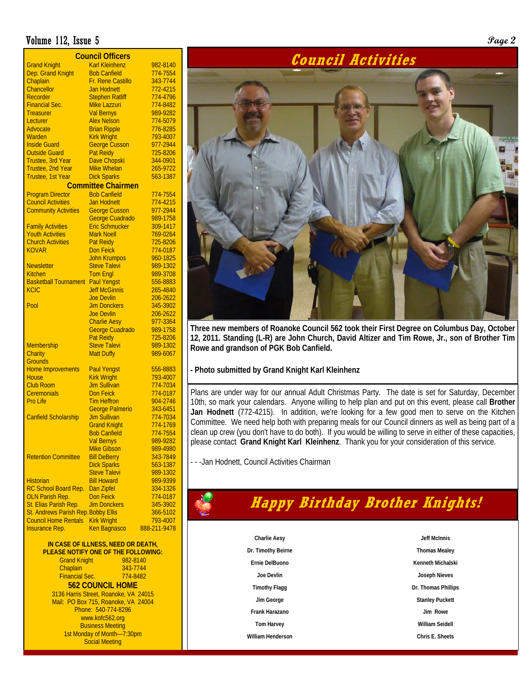### Volume 112, Issue 5 **Page 2**

| <b>Council Officers</b>             |                        |              |  |  |  |  |  |  |
|-------------------------------------|------------------------|--------------|--|--|--|--|--|--|
| <b>Grand Knight</b>                 | <b>Karl Kleinhenz</b>  | 982-8140     |  |  |  |  |  |  |
| Dep. Grand Knight                   | <b>Bob Canfield</b>    | 774-7554     |  |  |  |  |  |  |
| Chaplain                            | Fr. Rene Castillo      | 343-7744     |  |  |  |  |  |  |
| <b>Chancellor</b>                   | <b>Jan Hodnett</b>     | 772-4215     |  |  |  |  |  |  |
| Recorder                            | <b>Stephen Ratliff</b> | 774-4796     |  |  |  |  |  |  |
| <b>Financial Sec.</b>               | Mike Lazzuri           | 774-8482     |  |  |  |  |  |  |
| <b>Treasurer</b>                    | <b>Val Bernys</b>      | 989-9282     |  |  |  |  |  |  |
| Lecturer                            | <b>Alex Nelson</b>     | 774-5079     |  |  |  |  |  |  |
| Advocate                            | <b>Brian Ripple</b>    | 776-8285     |  |  |  |  |  |  |
| Warden                              | <b>Kirk Wright</b>     | 793-4007     |  |  |  |  |  |  |
| <b>Inside Guard</b>                 | <b>George Cusson</b>   | 977-2944     |  |  |  |  |  |  |
| <b>Outside Guard</b>                | Pat Reidy              | 725-8206     |  |  |  |  |  |  |
| Trustee, 3rd Year                   | <b>Dave Chopski</b>    | 344-0901     |  |  |  |  |  |  |
| Trustee, 2nd Year                   | <b>Mike Whelan</b>     | 265-9722     |  |  |  |  |  |  |
| Trustee, 1st Year                   | <b>Dick Sparks</b>     | 563-1387     |  |  |  |  |  |  |
| <b>Committee Chairmen</b>           |                        |              |  |  |  |  |  |  |
| <b>Program Director</b>             | <b>Bob Canfield</b>    | 774-7554     |  |  |  |  |  |  |
| <b>Council Activities</b>           | <b>Jan Hodnett</b>     | 774-4215     |  |  |  |  |  |  |
| <b>Community Activities</b>         | <b>George Cusson</b>   | 977-2944     |  |  |  |  |  |  |
|                                     | George Cuadrado        | 989-1758     |  |  |  |  |  |  |
| <b>Family Activities</b>            | <b>Eric Schmucker</b>  | 309-1417     |  |  |  |  |  |  |
| <b>Youth Activities</b>             | <b>Mark Noell</b>      | 769-0264     |  |  |  |  |  |  |
| <b>Church Activities</b>            | <b>Pat Reidy</b>       | 725-8206     |  |  |  |  |  |  |
| <b>KOVAR</b>                        | <b>Don Feick</b>       | 774-0187     |  |  |  |  |  |  |
|                                     | <b>John Krumpos</b>    | 960-1825     |  |  |  |  |  |  |
| <b>Newsletter</b>                   | Steve Talevi           | 989-1302     |  |  |  |  |  |  |
| <b>Kitchen</b>                      | <b>Tom Engl</b>        | 989-3708     |  |  |  |  |  |  |
| <b>Basketball Tournament</b>        | <b>Paul Yengst</b>     | 556-8883     |  |  |  |  |  |  |
| <b>KCIC</b>                         | <b>Jeff McGinnis</b>   | 265-4840     |  |  |  |  |  |  |
|                                     | <b>Joe Devlin</b>      | 206-2622     |  |  |  |  |  |  |
| Pool                                | <b>Jim Donckers</b>    | 345-3902     |  |  |  |  |  |  |
|                                     | <b>Joe Devlin</b>      | 206-2622     |  |  |  |  |  |  |
|                                     | <b>Charlie Aesy</b>    | 977-3364     |  |  |  |  |  |  |
|                                     | George Cuadrado        | 989-1758     |  |  |  |  |  |  |
|                                     | <b>Pat Reidy</b>       | 725-8206     |  |  |  |  |  |  |
| <b>Membership</b>                   | <b>Steve Talevi</b>    | 989-1302     |  |  |  |  |  |  |
| Charity                             | <b>Matt Duffy</b>      | 989-6067     |  |  |  |  |  |  |
| <b>Grounds</b>                      |                        |              |  |  |  |  |  |  |
| <b>Home Improvements</b>            | <b>Paul Yengst</b>     | 556-8883     |  |  |  |  |  |  |
| <b>House</b>                        | <b>Kirk Wright</b>     | 793-4007     |  |  |  |  |  |  |
| <b>Club Room</b>                    | <b>Jim Sullivan</b>    | 774-7034     |  |  |  |  |  |  |
| <b>Ceremonials</b>                  | <b>Don Feick</b>       | 774-0187     |  |  |  |  |  |  |
| Pro Life                            | <b>Tim Heffron</b>     | 904-2746     |  |  |  |  |  |  |
|                                     | <b>George Palmerio</b> | 343-6451     |  |  |  |  |  |  |
| <b>Canfield Scholarship</b>         | <b>Jim Sullivan</b>    | 774-7034     |  |  |  |  |  |  |
|                                     | <b>Grand Knight</b>    | 774-1769     |  |  |  |  |  |  |
|                                     | <b>Bob Canfield</b>    | 774-7554     |  |  |  |  |  |  |
|                                     | <b>Val Bernys</b>      | 989-9282     |  |  |  |  |  |  |
|                                     | <b>Mike Gibson</b>     | 989-4980     |  |  |  |  |  |  |
| <b>Retention Committee</b>          | <b>Bill DeBerry</b>    | 343-7849     |  |  |  |  |  |  |
|                                     | <b>Dick Sparks</b>     | 563-1387     |  |  |  |  |  |  |
|                                     | <b>Steve Talevi</b>    | 989-1302     |  |  |  |  |  |  |
| <b>Historian</b>                    | <b>Bill Howard</b>     | 989-9399     |  |  |  |  |  |  |
| RC School Board Rep.                | Dan Zipfel             | 334-1326     |  |  |  |  |  |  |
| <b>OLN Parish Rep.</b>              | <b>Don Feick</b>       | 774-0187     |  |  |  |  |  |  |
| St. Elias Parish Rep.               | <b>Jim Donckers</b>    | 345-3902     |  |  |  |  |  |  |
| St. Andrews Parish Rep. Bobby Ellis |                        | 366-5102     |  |  |  |  |  |  |
| <b>Council Home Rentals</b>         | <b>Kirk Wright</b>     | 793-4007     |  |  |  |  |  |  |
| <b>Insurance Rep.</b>               | <b>Ken Bagnasco</b>    | 888-211-9478 |  |  |  |  |  |  |

#### **IN CASE OF ILLNESS, NEED OR DEATH, PLEASE NOTIFY ONE OF THE FOLLOWING:**  Grand Knight 982-8140<br>Chaplain 343-7744 Chaplain 343-7744<br>Financial Sec. 774-8482 Financial Sec. **562 COUNCIL HOME**  3136 Harris Street, Roanoke, VA 24015

Mail: PO Box 715, Roanoke, VA 24004 Phone: 540-774-8296 www.kofc562.org **Business Meeting** 1st Monday of Month—7:30pm Social Meeting



**Three new members of Roanoke Council 562 took their First Degree on Columbus Day, October 12, 2011. Standing (L-R) are John Church, David Altizer and Tim Rowe, Jr., son of Brother Tim Rowe and grandson of PGK Bob Canfield.** 

#### **- Photo submitted by Grand Knight Karl Kleinhenz**

Plans are under way for our annual Adult Christmas Party. The date is set for Saturday, December 10th, so mark your calendars. Anyone willing to help plan and put on this event, please call **Brother Jan Hodnett** (772-4215). In addition, we're looking for a few good men to serve on the Kitchen Committee. We need help both with preparing meals for our Council dinners as well as being part of a clean up crew (you don't have to do both). If you would be willing to serve in either of these capacities, please contact **Grand Knight Karl Kleinhenz**. Thank you for your consideration of this service.

- - -Jan Hodnett, Council Activities Chairman

# **Happy Birthday Brother Knights!**

**Charlie Aesy Dr. Timothy Beirne Ernie DelBuono Joe Devlin Timothy Flagg Jim George Frank Harazano Tom Harvey William Henderson** 

**Jeff McInnis Thomas Mealey Kenneth Michalski Joseph Nieves Dr. Thomas Phillips Stanley Puckett Jim Rowe William Seidell Chris E. Sheets**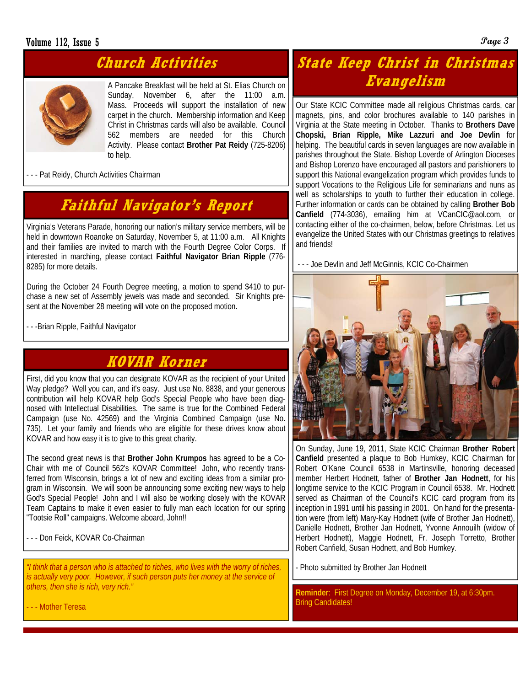### Volume 112, Issue 5 **Page 3**

## **Church Activities**

A Pancake Breakfast will be held at St. Elias Church on Sunday, November 6, after the 11:00 a.m. Mass. Proceeds will support the installation of new carpet in the church. Membership information and Keep Christ in Christmas cards will also be available. Council 562 members are needed for this Church Activity. Please contact **Brother Pat Reidy** (725-8206) to help.

- - - Pat Reidy, Church Activities Chairman

# **Faithful Navigator's Report**

Virginia's Veterans Parade, honoring our nation's military service members, will be held in downtown Roanoke on Saturday, November 5, at 11:00 a.m. All Knights and their families are invited to march with the Fourth Degree Color Corps. If interested in marching, please contact **Faithful Navigator Brian Ripple** (776- 8285) for more details.

During the October 24 Fourth Degree meeting, a motion to spend \$410 to purchase a new set of Assembly jewels was made and seconded. Sir Knights present at the November 28 meeting will vote on the proposed motion.

- - -Brian Ripple, Faithful Navigator

### **KOVAR Korner**

First, did you know that you can designate KOVAR as the recipient of your United Way pledge? Well you can, and it's easy. Just use No. 8838, and your generous contribution will help KOVAR help God's Special People who have been diagnosed with Intellectual Disabilities. The same is true for the Combined Federal Campaign (use No. 42569) and the Virginia Combined Campaign (use No. 735). Let your family and friends who are eligible for these drives know about KOVAR and how easy it is to give to this great charity.

The second great news is that **Brother John Krumpos** has agreed to be a Co-Chair with me of Council 562's KOVAR Committee! John, who recently transferred from Wisconsin, brings a lot of new and exciting ideas from a similar program in Wisconsin. We will soon be announcing some exciting new ways to help God's Special People! John and I will also be working closely with the KOVAR Team Captains to make it even easier to fully man each location for our spring "Tootsie Roll" campaigns. Welcome aboard, John!!

- - - Don Feick, KOVAR Co-Chairman

*"I think that a person who is attached to riches, who lives with the worry of riches, is actually very poor. However, if such person puts her money at the service of others, then she is rich, very rich."* 

# **State Keep Christ in Christmas Evangelism**

Our State KCIC Committee made all religious Christmas cards, car magnets, pins, and color brochures available to 140 parishes in Virginia at the State meeting in October. Thanks to **Brothers Dave Chopski, Brian Ripple, Mike Lazzuri and Joe Devlin** for helping. The beautiful cards in seven languages are now available in parishes throughout the State. Bishop Loverde of Arlington Dioceses and Bishop Lorenzo have encouraged all pastors and parishioners to support this National evangelization program which provides funds to support Vocations to the Religious Life for seminarians and nuns as well as scholarships to youth to further their education in college. Further information or cards can be obtained by calling **Brother Bob Canfield** (774-3036), emailing him at VCanCIC@aol.com, or contacting either of the co-chairmen, below, before Christmas. Let us evangelize the United States with our Christmas greetings to relatives and friends!

- - - Joe Devlin and Jeff McGinnis, KCIC Co-Chairmen



On Sunday, June 19, 2011, State KCIC Chairman **Brother Robert Canfield** presented a plaque to Bob Humkey, KCIC Chairman for Robert O'Kane Council 6538 in Martinsville, honoring deceased member Herbert Hodnett, father of **Brother Jan Hodnett**, for his longtime service to the KCIC Program in Council 6538. Mr. Hodnett served as Chairman of the Council's KCIC card program from its inception in 1991 until his passing in 2001. On hand for the presentation were (from left) Mary-Kay Hodnett (wife of Brother Jan Hodnett), Danielle Hodnett, Brother Jan Hodnett, Yvonne Annouilh (widow of Herbert Hodnett), Maggie Hodnett, Fr. Joseph Torretto, Brother Robert Canfield, Susan Hodnett, and Bob Humkey.

Photo submitted by Brother Jan Hodnett

**Reminder**: First Degree on Monday, December 19, at 6:30pm. Bring Candidates!

- - - Mother Teresa